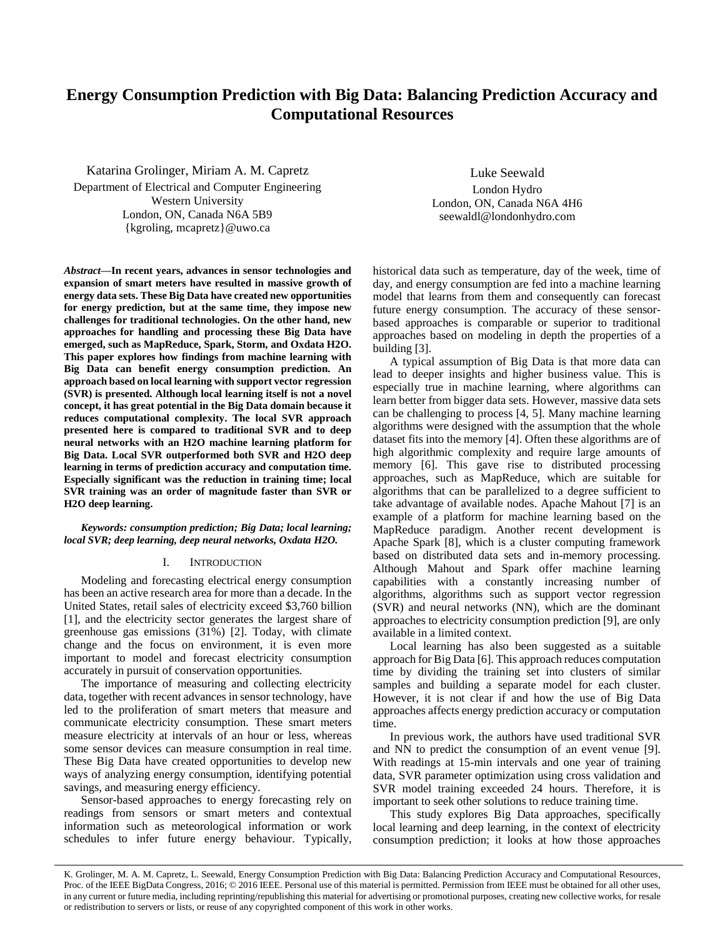# **Energy Consumption Prediction with Big Data: Balancing Prediction Accuracy and Computational Resources**

Katarina Grolinger, Miriam A. M. Capretz Department of Electrical and Computer Engineering Western University London, ON, Canada N6A 5B9 {kgroling, mcapretz}@uwo.ca

*Abstract***—In recent years, advances in sensor technologies and expansion of smart meters have resulted in massive growth of energy data sets. These Big Data have created new opportunities for energy prediction, but at the same time, they impose new challenges for traditional technologies. On the other hand, new approaches for handling and processing these Big Data have emerged, such as MapReduce, Spark, Storm, and Oxdata H2O. This paper explores how findings from machine learning with Big Data can benefit energy consumption prediction. An approach based on local learning with support vector regression (SVR) is presented. Although local learning itself is not a novel concept, it has great potential in the Big Data domain because it reduces computational complexity. The local SVR approach presented here is compared to traditional SVR and to deep neural networks with an H2O machine learning platform for Big Data. Local SVR outperformed both SVR and H2O deep learning in terms of prediction accuracy and computation time. Especially significant was the reduction in training time; local SVR training was an order of magnitude faster than SVR or H2O deep learning.**

*Keywords: consumption prediction; Big Data; local learning; local SVR; deep learning, deep neural networks, Oxdata H2O.*

# I. INTRODUCTION

Modeling and forecasting electrical energy consumption has been an active research area for more than a decade. In the United States, retail sales of electricity exceed \$3,760 billion [1], and the electricity sector generates the largest share of greenhouse gas emissions (31%) [2]. Today, with climate change and the focus on environment, it is even more important to model and forecast electricity consumption accurately in pursuit of conservation opportunities.

The importance of measuring and collecting electricity data, together with recent advances in sensor technology, have led to the proliferation of smart meters that measure and communicate electricity consumption. These smart meters measure electricity at intervals of an hour or less, whereas some sensor devices can measure consumption in real time. These Big Data have created opportunities to develop new ways of analyzing energy consumption, identifying potential savings, and measuring energy efficiency.

Sensor-based approaches to energy forecasting rely on readings from sensors or smart meters and contextual information such as meteorological information or work schedules to infer future energy behaviour. Typically,

Luke Seewald London Hydro London, ON, Canada N6A 4H6 seewaldl@londonhydro.com

historical data such as temperature, day of the week, time of day, and energy consumption are fed into a machine learning model that learns from them and consequently can forecast future energy consumption. The accuracy of these sensorbased approaches is comparable or superior to traditional approaches based on modeling in depth the properties of a building [3].

A typical assumption of Big Data is that more data can lead to deeper insights and higher business value. This is especially true in machine learning, where algorithms can learn better from bigger data sets. However, massive data sets can be challenging to process [4, 5]. Many machine learning algorithms were designed with the assumption that the whole dataset fits into the memory [4]. Often these algorithms are of high algorithmic complexity and require large amounts of memory [6]. This gave rise to distributed processing approaches, such as MapReduce, which are suitable for algorithms that can be parallelized to a degree sufficient to take advantage of available nodes. Apache Mahout [7] is an example of a platform for machine learning based on the MapReduce paradigm. Another recent development is Apache Spark [8], which is a cluster computing framework based on distributed data sets and in-memory processing. Although Mahout and Spark offer machine learning capabilities with a constantly increasing number of algorithms, algorithms such as support vector regression (SVR) and neural networks (NN), which are the dominant approaches to electricity consumption prediction [9], are only available in a limited context.

Local learning has also been suggested as a suitable approach for Big Data [6]. This approach reduces computation time by dividing the training set into clusters of similar samples and building a separate model for each cluster. However, it is not clear if and how the use of Big Data approaches affects energy prediction accuracy or computation time.

In previous work, the authors have used traditional SVR and NN to predict the consumption of an event venue [9]. With readings at 15-min intervals and one year of training data, SVR parameter optimization using cross validation and SVR model training exceeded 24 hours. Therefore, it is important to seek other solutions to reduce training time.

This study explores Big Data approaches, specifically local learning and deep learning, in the context of electricity consumption prediction; it looks at how those approaches

K. Grolinger, M. A. M. Capretz, L. Seewald, Energy Consumption Prediction with Big Data: Balancing Prediction Accuracy and Computational Resources, Proc. of the IEEE BigData Congress, 2016; © 2016 IEEE. Personal use of this material is permitted. Permission from IEEE must be obtained for all other uses, in any current or future media, including reprinting/republishing this material for advertising or promotional purposes, creating new collective works, for resale or redistribution to servers or lists, or reuse of any copyrighted component of this work in other works.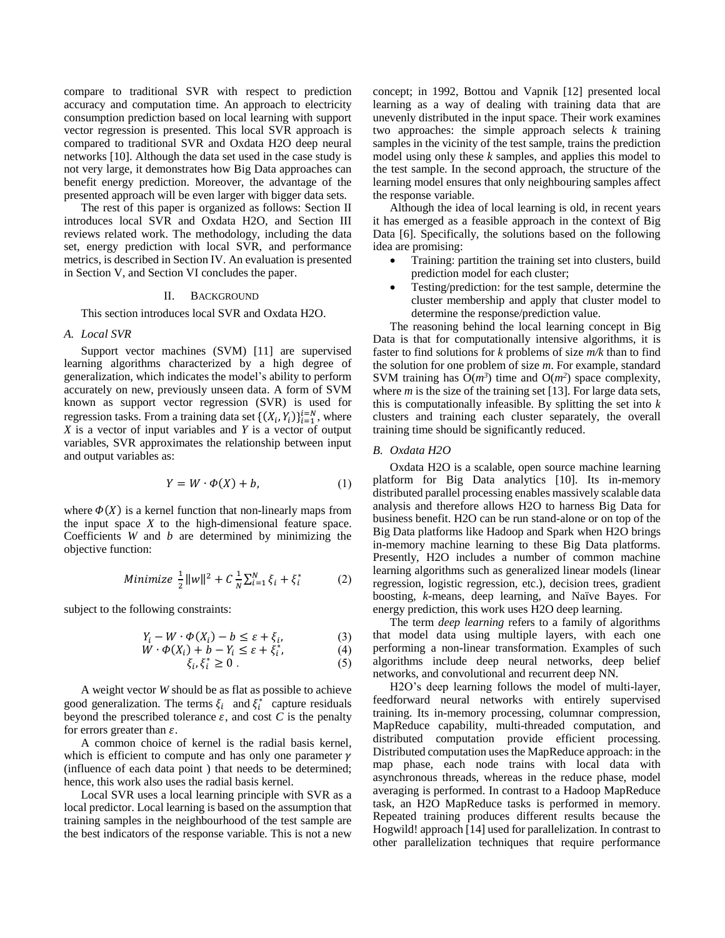compare to traditional SVR with respect to prediction accuracy and computation time. An approach to electricity consumption prediction based on local learning with support vector regression is presented. This local SVR approach is compared to traditional SVR and Oxdata H2O deep neural networks [10]. Although the data set used in the case study is not very large, it demonstrates how Big Data approaches can benefit energy prediction. Moreover, the advantage of the presented approach will be even larger with bigger data sets.

The rest of this paper is organized as follows: Section II introduces local SVR and Oxdata H2O, and Section III reviews related work. The methodology, including the data set, energy prediction with local SVR, and performance metrics, is described in Section IV. An evaluation is presented in Section V, and Section VI concludes the paper.

#### II. BACKGROUND

This section introduces local SVR and Oxdata H2O.

#### *A. Local SVR*

Support vector machines (SVM) [11] are supervised learning algorithms characterized by a high degree of generalization, which indicates the model's ability to perform accurately on new, previously unseen data. A form of SVM known as support vector regression (SVR) is used for regression tasks. From a training data set  $\{(X_i, Y_i)\}_{i=1}^{i=N}$ , where *X* is a vector of input variables and *Y* is a vector of output variables, SVR approximates the relationship between input and output variables as:

$$
Y = W \cdot \Phi(X) + b,\tag{1}
$$

where  $\Phi(X)$  is a kernel function that non-linearly maps from the input space *X* to the high-dimensional feature space. Coefficients *W* and *b* are determined by minimizing the objective function:

Minimize 
$$
\frac{1}{2} ||w||^2 + C \frac{1}{N} \sum_{i=1}^{N} \xi_i + \xi_i^*
$$
 (2)

subject to the following constraints:

$$
Y_i - W \cdot \Phi(X_i) - b \le \varepsilon + \xi_i,\tag{3}
$$

$$
\dot{W} \cdot \Phi(X_i) + \dot{b} - Y_i \le \varepsilon + \xi_i^*,\tag{4}
$$

$$
\xi_i, \xi_i^* \ge 0. \tag{5}
$$

A weight vector *W* should be as flat as possible to achieve good generalization. The terms  $\xi_i$  and  $\xi_i^*$  capture residuals beyond the prescribed tolerance  $\varepsilon$ , and cost  $C$  is the penalty for errors greater than  $\varepsilon$ .

A common choice of kernel is the radial basis kernel, which is efficient to compute and has only one parameter  $\gamma$ (influence of each data point ) that needs to be determined; hence, this work also uses the radial basis kernel.

Local SVR uses a local learning principle with SVR as a local predictor. Local learning is based on the assumption that training samples in the neighbourhood of the test sample are the best indicators of the response variable. This is not a new concept; in 1992, Bottou and Vapnik [12] presented local learning as a way of dealing with training data that are unevenly distributed in the input space. Their work examines two approaches: the simple approach selects *k* training samples in the vicinity of the test sample, trains the prediction model using only these *k* samples, and applies this model to the test sample. In the second approach, the structure of the learning model ensures that only neighbouring samples affect the response variable.

Although the idea of local learning is old, in recent years it has emerged as a feasible approach in the context of Big Data [6]. Specifically, the solutions based on the following idea are promising:

- Training: partition the training set into clusters, build prediction model for each cluster;
- Testing/prediction: for the test sample, determine the cluster membership and apply that cluster model to determine the response/prediction value.

The reasoning behind the local learning concept in Big Data is that for computationally intensive algorithms, it is faster to find solutions for *k* problems of size *m/k* than to find the solution for one problem of size *m*. For example, standard SVM training has  $\tilde{O}(m^3)$  time and  $O(m^2)$  space complexity, where *m* is the size of the training set [13]. For large data sets, this is computationally infeasible. By splitting the set into *k*  clusters and training each cluster separately, the overall training time should be significantly reduced.

## *B. Oxdata H2O*

Oxdata H2O is a scalable, open source machine learning platform for Big Data analytics [10]. Its in-memory distributed parallel processing enables massively scalable data analysis and therefore allows H2O to harness Big Data for business benefit. H2O can be run stand-alone or on top of the Big Data platforms like Hadoop and Spark when H2O brings in-memory machine learning to these Big Data platforms. Presently, H2O includes a number of common machine learning algorithms such as generalized linear models (linear regression, logistic regression, etc.), decision trees, gradient boosting, *k*-means, deep learning, and Naïve Bayes. For energy prediction, this work uses H2O deep learning.

The term *deep learning* refers to a family of algorithms that model data using multiple layers, with each one performing a non-linear transformation. Examples of such algorithms include deep neural networks, deep belief networks, and convolutional and recurrent deep NN.

H2O's deep learning follows the model of multi-layer, feedforward neural networks with entirely supervised training. Its in-memory processing, columnar compression, MapReduce capability, multi-threaded computation, and distributed computation provide efficient processing. Distributed computation uses the MapReduce approach: in the map phase, each node trains with local data with asynchronous threads, whereas in the reduce phase, model averaging is performed. In contrast to a Hadoop MapReduce task, an H2O MapReduce tasks is performed in memory. Repeated training produces different results because the Hogwild! approach [14] used for parallelization. In contrast to other parallelization techniques that require performance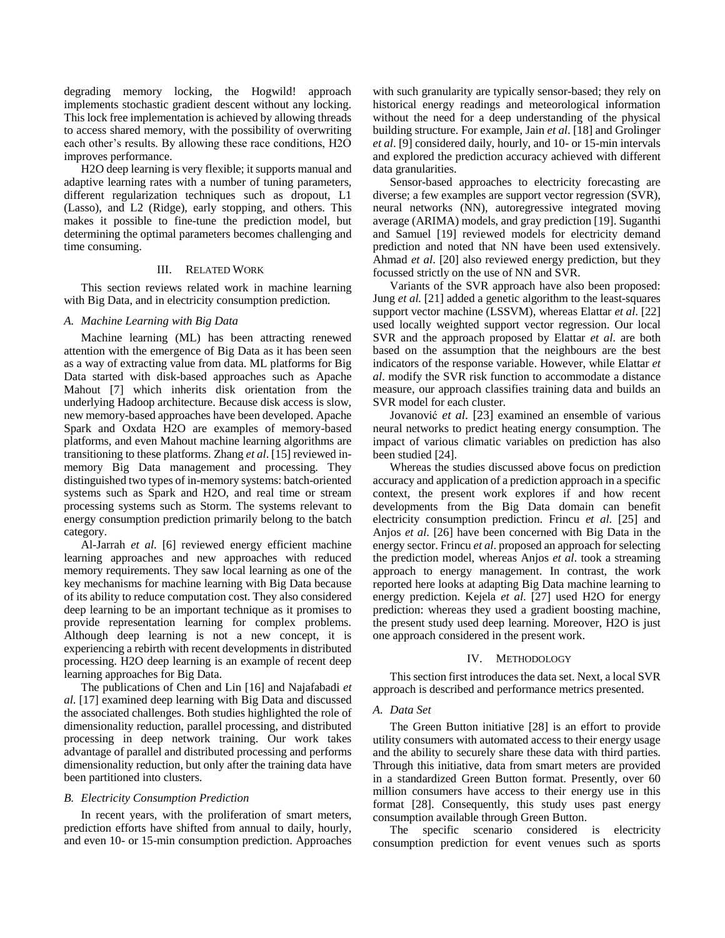degrading memory locking, the Hogwild! approach implements stochastic gradient descent without any locking. This lock free implementation is achieved by allowing threads to access shared memory, with the possibility of overwriting each other's results. By allowing these race conditions, H2O improves performance.

H2O deep learning is very flexible; it supports manual and adaptive learning rates with a number of tuning parameters, different regularization techniques such as dropout, L1 (Lasso), and L2 (Ridge), early stopping, and others. This makes it possible to fine-tune the prediction model, but determining the optimal parameters becomes challenging and time consuming.

# III. RELATED WORK

This section reviews related work in machine learning with Big Data, and in electricity consumption prediction.

## *A. Machine Learning with Big Data*

Machine learning (ML) has been attracting renewed attention with the emergence of Big Data as it has been seen as a way of extracting value from data. ML platforms for Big Data started with disk-based approaches such as Apache Mahout [7] which inherits disk orientation from the underlying Hadoop architecture. Because disk access is slow, new memory-based approaches have been developed. Apache Spark and Oxdata H2O are examples of memory-based platforms, and even Mahout machine learning algorithms are transitioning to these platforms. Zhang *et al*. [15] reviewed inmemory Big Data management and processing. They distinguished two types of in-memory systems: batch-oriented systems such as Spark and H2O, and real time or stream processing systems such as Storm. The systems relevant to energy consumption prediction primarily belong to the batch category.

Al-Jarrah *et al*. [6] reviewed energy efficient machine learning approaches and new approaches with reduced memory requirements. They saw local learning as one of the key mechanisms for machine learning with Big Data because of its ability to reduce computation cost. They also considered deep learning to be an important technique as it promises to provide representation learning for complex problems. Although deep learning is not a new concept, it is experiencing a rebirth with recent developments in distributed processing. H2O deep learning is an example of recent deep learning approaches for Big Data.

The publications of Chen and Lin [16] and Najafabadi *et al*. [17] examined deep learning with Big Data and discussed the associated challenges. Both studies highlighted the role of dimensionality reduction, parallel processing, and distributed processing in deep network training. Our work takes advantage of parallel and distributed processing and performs dimensionality reduction, but only after the training data have been partitioned into clusters.

# *B. Electricity Consumption Prediction*

In recent years, with the proliferation of smart meters, prediction efforts have shifted from annual to daily, hourly, and even 10- or 15-min consumption prediction. Approaches with such granularity are typically sensor-based; they rely on historical energy readings and meteorological information without the need for a deep understanding of the physical building structure. For example, Jain *et al*. [18] and Grolinger *et al*. [9] considered daily, hourly, and 10- or 15-min intervals and explored the prediction accuracy achieved with different data granularities.

Sensor-based approaches to electricity forecasting are diverse; a few examples are support vector regression (SVR), neural networks (NN), autoregressive integrated moving average (ARIMA) models, and gray prediction [19]. Suganthi and Samuel [19] reviewed models for electricity demand prediction and noted that NN have been used extensively. Ahmad *et al*. [20] also reviewed energy prediction, but they focussed strictly on the use of NN and SVR.

Variants of the SVR approach have also been proposed: Jung *et al.* [21] added a genetic algorithm to the least-squares support vector machine (LSSVM), whereas Elattar *et al*. [22] used locally weighted support vector regression. Our local SVR and the approach proposed by Elattar *et al*. are both based on the assumption that the neighbours are the best indicators of the response variable. However, while Elattar *et al*. modify the SVR risk function to accommodate a distance measure, our approach classifies training data and builds an SVR model for each cluster.

Jovanović *et al*. [23] examined an ensemble of various neural networks to predict heating energy consumption. The impact of various climatic variables on prediction has also been studied [24].

Whereas the studies discussed above focus on prediction accuracy and application of a prediction approach in a specific context, the present work explores if and how recent developments from the Big Data domain can benefit electricity consumption prediction. Frincu *et al*. [25] and Anjos *et al*. [26] have been concerned with Big Data in the energy sector. Frincu *et al*. proposed an approach for selecting the prediction model, whereas Anjos *et al*. took a streaming approach to energy management. In contrast, the work reported here looks at adapting Big Data machine learning to energy prediction. Kejela *et al*. [27] used H2O for energy prediction: whereas they used a gradient boosting machine, the present study used deep learning. Moreover, H2O is just one approach considered in the present work.

#### IV. METHODOLOGY

This section first introduces the data set. Next, a local SVR approach is described and performance metrics presented.

## *A. Data Set*

The Green Button initiative [28] is an effort to provide utility consumers with automated access to their energy usage and the ability to securely share these data with third parties. Through this initiative, data from smart meters are provided in a standardized Green Button format. Presently, over 60 million consumers have access to their energy use in this format [28]. Consequently, this study uses past energy consumption available through Green Button.

The specific scenario considered is electricity consumption prediction for event venues such as sports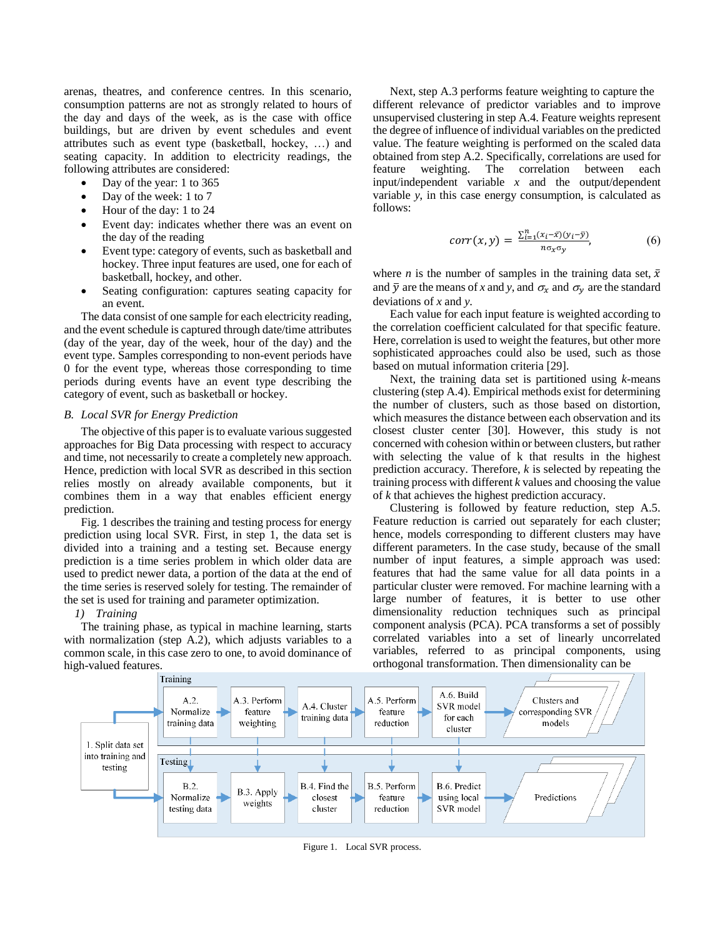arenas, theatres, and conference centres. In this scenario, consumption patterns are not as strongly related to hours of the day and days of the week, as is the case with office buildings, but are driven by event schedules and event attributes such as event type (basketball, hockey, …) and seating capacity. In addition to electricity readings, the following attributes are considered:

- Day of the year: 1 to 365
- Day of the week: 1 to 7
- Hour of the day: 1 to 24
- Event day: indicates whether there was an event on the day of the reading
- Event type: category of events, such as basketball and hockey. Three input features are used, one for each of basketball, hockey, and other.
- Seating configuration: captures seating capacity for an event.

The data consist of one sample for each electricity reading, and the event schedule is captured through date/time attributes (day of the year, day of the week, hour of the day) and the event type. Samples corresponding to non-event periods have 0 for the event type, whereas those corresponding to time periods during events have an event type describing the category of event, such as basketball or hockey.

## <span id="page-3-0"></span>*B. Local SVR for Energy Prediction*

The objective of this paper is to evaluate various suggested approaches for Big Data processing with respect to accuracy and time, not necessarily to create a completely new approach. Hence, prediction with local SVR as described in this section relies mostly on already available components, but it combines them in a way that enables efficient energy prediction.

Fig. 1 describes the training and testing process for energy prediction using local SVR. First, in step 1, the data set is divided into a training and a testing set. Because energy prediction is a time series problem in which older data are used to predict newer data, a portion of the data at the end of the time series is reserved solely for testing. The remainder of the set is used for training and parameter optimization.

# *1) Training*

The training phase, as typical in machine learning, starts with normalization (step A.2), which adjusts variables to a common scale, in this case zero to one, to avoid dominance of high-valued features.

Next, step A.3 performs feature weighting to capture the different relevance of predictor variables and to improve unsupervised clustering in step A.4. Feature weights represent the degree of influence of individual variables on the predicted value. The feature weighting is performed on the scaled data obtained from step A.2. Specifically, correlations are used for feature weighting. The correlation between each input/independent variable *x* and the output/dependent variable *y*, in this case energy consumption, is calculated as follows:

$$
corr(x, y) = \frac{\sum_{i=1}^{n} (x_i - \bar{x})(y_i - \bar{y})}{n\sigma_x \sigma_y},
$$
\n(6)

where *n* is the number of samples in the training data set,  $\bar{x}$ and  $\bar{y}$  are the means of *x* and *y*, and  $\sigma_x$  and  $\sigma_y$  are the standard deviations of *x* and *y*.

Each value for each input feature is weighted according to the correlation coefficient calculated for that specific feature. Here, correlation is used to weight the features, but other more sophisticated approaches could also be used, such as those based on mutual information criteria [29].

Next, the training data set is partitioned using *k*-means clustering (step A.4). Empirical methods exist for determining the number of clusters, such as those based on distortion, which measures the distance between each observation and its closest cluster center [30]. However, this study is not concerned with cohesion within or between clusters, but rather with selecting the value of k that results in the highest prediction accuracy. Therefore, *k* is selected by repeating the training process with different *k* values and choosing the value of *k* that achieves the highest prediction accuracy.

Clustering is followed by feature reduction, step A.5. Feature reduction is carried out separately for each cluster; hence, models corresponding to different clusters may have different parameters. In the case study, because of the small number of input features, a simple approach was used: features that had the same value for all data points in a particular cluster were removed. For machine learning with a large number of features, it is better to use other dimensionality reduction techniques such as principal component analysis (PCA). PCA transforms a set of possibly correlated variables into a set of linearly uncorrelated variables, referred to as principal components, using orthogonal transformation. Then dimensionality can be



Figure 1. Local SVR process.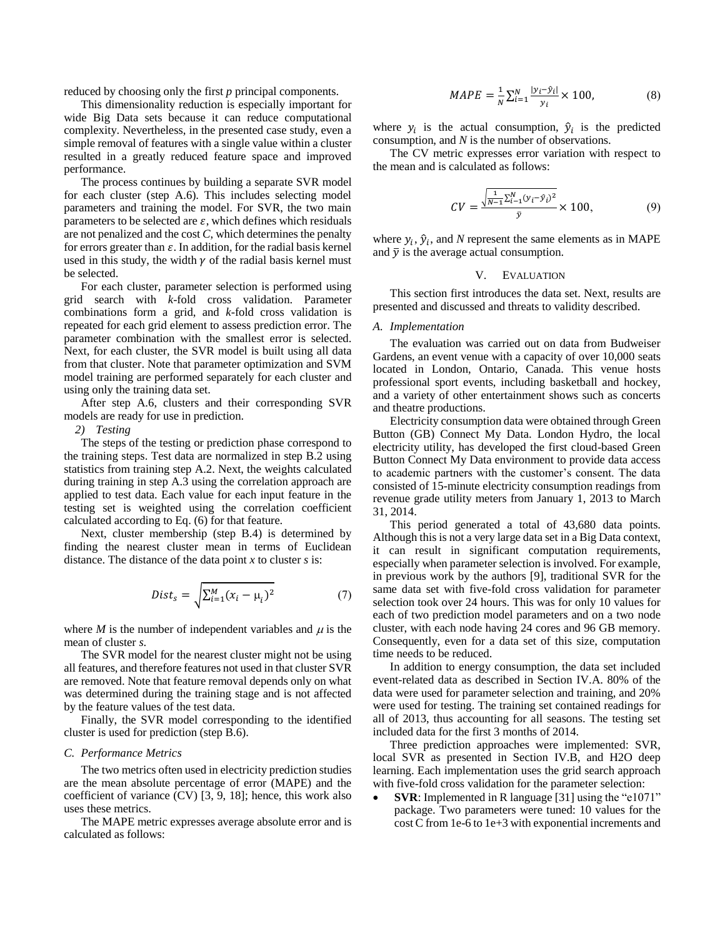reduced by choosing only the first *p* principal components.

This dimensionality reduction is especially important for wide Big Data sets because it can reduce computational complexity. Nevertheless, in the presented case study, even a simple removal of features with a single value within a cluster resulted in a greatly reduced feature space and improved performance.

The process continues by building a separate SVR model for each cluster (step A.6). This includes selecting model parameters and training the model. For SVR, the two main parameters to be selected are  $\varepsilon$ , which defines which residuals are not penalized and the cost *C*, which determines the penalty for errors greater than  $\varepsilon$ . In addition, for the radial basis kernel used in this study, the width  $\gamma$  of the radial basis kernel must be selected.

For each cluster, parameter selection is performed using grid search with *k*-fold cross validation. Parameter combinations form a grid, and *k*-fold cross validation is repeated for each grid element to assess prediction error. The parameter combination with the smallest error is selected. Next, for each cluster, the SVR model is built using all data from that cluster. Note that parameter optimization and SVM model training are performed separately for each cluster and using only the training data set.

After step A.6, clusters and their corresponding SVR models are ready for use in prediction.

*2) Testing*

The steps of the testing or prediction phase correspond to the training steps. Test data are normalized in step B.2 using statistics from training step A.2. Next, the weights calculated during training in step A.3 using the correlation approach are applied to test data. Each value for each input feature in the testing set is weighted using the correlation coefficient calculated according to Eq. (6) for that feature.

Next, cluster membership (step B.4) is determined by finding the nearest cluster mean in terms of Euclidean distance. The distance of the data point *x* to cluster *s* is:

$$
Dist_s = \sqrt{\sum_{i=1}^{M} (x_i - \mu_i)^2}
$$
 (7)

where  $M$  is the number of independent variables and  $\mu$  is the mean of cluster *s*.

The SVR model for the nearest cluster might not be using all features, and therefore features not used in that cluster SVR are removed. Note that feature removal depends only on what was determined during the training stage and is not affected by the feature values of the test data.

Finally, the SVR model corresponding to the identified cluster is used for prediction (step B.6).

## *C. Performance Metrics*

The two metrics often used in electricity prediction studies are the mean absolute percentage of error (MAPE) and the coefficient of variance (CV) [3, 9, 18]; hence, this work also uses these metrics.

The MAPE metric expresses average absolute error and is calculated as follows:

$$
MAPE = \frac{1}{N} \sum_{i=1}^{N} \frac{|y_i - \hat{y}_i|}{y_i} \times 100,
$$
 (8)

where  $y_i$  is the actual consumption,  $\hat{y}_i$  is the predicted consumption, and *N* is the number of observations.

The CV metric expresses error variation with respect to the mean and is calculated as follows:

$$
CV = \frac{\sqrt{\frac{1}{N-1} \sum_{i=1}^{N} (y_i - \hat{y}_i)^2}}{\bar{y}} \times 100,
$$
 (9)

where  $y_i$ ,  $\hat{y}_i$ , and *N* represent the same elements as in MAPE and  $\bar{y}$  is the average actual consumption.

# V. EVALUATION

This section first introduces the data set. Next, results are presented and discussed and threats to validity described.

## *A. Implementation*

The evaluation was carried out on data from Budweiser Gardens, an event venue with a capacity of over 10,000 seats located in London, Ontario, Canada. This venue hosts professional sport events, including basketball and hockey, and a variety of other entertainment shows such as concerts and theatre productions.

Electricity consumption data were obtained through Green Button (GB) Connect My Data. London Hydro, the local electricity utility, has developed the first cloud-based Green Button Connect My Data environment to provide data access to academic partners with the customer's consent. The data consisted of 15-minute electricity consumption readings from revenue grade utility meters from January 1, 2013 to March 31, 2014.

This period generated a total of 43,680 data points. Although this is not a very large data set in a Big Data context, it can result in significant computation requirements, especially when parameter selection is involved. For example, in previous work by the authors [9], traditional SVR for the same data set with five-fold cross validation for parameter selection took over 24 hours. This was for only 10 values for each of two prediction model parameters and on a two node cluster, with each node having 24 cores and 96 GB memory. Consequently, even for a data set of this size, computation time needs to be reduced.

In addition to energy consumption, the data set included event-related data as described in Section IV.A. 80% of the data were used for parameter selection and training, and 20% were used for testing. The training set contained readings for all of 2013, thus accounting for all seasons. The testing set included data for the first 3 months of 2014.

Three prediction approaches were implemented: SVR, local SVR as presented in Section [IV.B,](#page-3-0) and H2O deep learning. Each implementation uses the grid search approach with five-fold cross validation for the parameter selection:

 **SVR**: Implemented in R language [31] using the "e1071" package. Two parameters were tuned: 10 values for the cost C from 1e-6 to 1e+3 with exponential increments and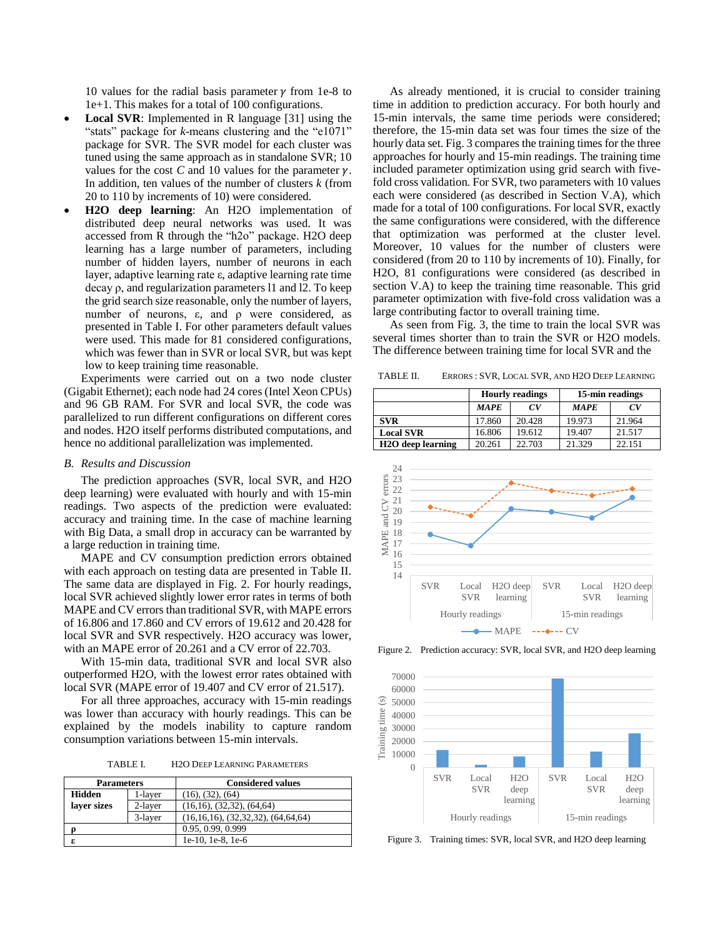10 values for the radial basis parameter  $\gamma$  from 1e-8 to 1e+1. This makes for a total of 100 configurations.

- **Local SVR**: Implemented in R language [31] using the "stats" package for *k*-means clustering and the "e1071" package for SVR. The SVR model for each cluster was tuned using the same approach as in standalone SVR; 10 values for the cost *C* and 10 values for the parameter  $\gamma$ . In addition, ten values of the number of clusters *k* (from 20 to 110 by increments of 10) were considered.
- **H2O deep learning**: An H2O implementation of distributed deep neural networks was used. It was accessed from R through the "h2o" package. H2O deep learning has a large number of parameters, including number of hidden layers, number of neurons in each layer, adaptive learning rate ε, adaptive learning rate time decay ρ, and regularization parameters l1 and l2. To keep the grid search size reasonable, only the number of layers, number of neurons, ε, and ρ were considered, as presented in Table I. For other parameters default values were used. This made for 81 considered configurations, which was fewer than in SVR or local SVR, but was kept low to keep training time reasonable.

Experiments were carried out on a two node cluster (Gigabit Ethernet); each node had 24 cores (Intel Xeon CPUs) and 96 GB RAM. For SVR and local SVR, the code was parallelized to run different configurations on different cores and nodes. H2O itself performs distributed computations, and hence no additional parallelization was implemented.

# *B. Results and Discussion*

The prediction approaches (SVR, local SVR, and H2O deep learning) were evaluated with hourly and with 15-min readings. Two aspects of the prediction were evaluated: accuracy and training time. In the case of machine learning with Big Data, a small drop in accuracy can be warranted by a large reduction in training time.

MAPE and CV consumption prediction errors obtained with each approach on testing data are presented in Table II. The same data are displayed in Fig. 2. For hourly readings, local SVR achieved slightly lower error rates in terms of both MAPE and CV errors than traditional SVR, with MAPE errors of 16.806 and 17.860 and CV errors of 19.612 and 20.428 for local SVR and SVR respectively. H2O accuracy was lower, with an MAPE error of 20.261 and a CV error of 22.703.

With 15-min data, traditional SVR and local SVR also outperformed H2O, with the lowest error rates obtained with local SVR (MAPE error of 19.407 and CV error of 21.517).

For all three approaches, accuracy with 15-min readings was lower than accuracy with hourly readings. This can be explained by the models inability to capture random consumption variations between 15-min intervals.

TABLE I. H2O DEEP LEARNING PARAMETERS

| <b>Parameters</b> |         | <b>Considered values</b>                   |  |
|-------------------|---------|--------------------------------------------|--|
| <b>Hidden</b>     | 1-layer | (16), (32), (64)                           |  |
| laver sizes       | 2-layer | $(16,16)$ , $(32,32)$ , $(64,64)$          |  |
|                   | 3-layer | $(16,16,16)$ , $(32,32,32)$ , $(64,64,64)$ |  |
| O                 |         | 0.95, 0.99, 0.999                          |  |
| ε                 |         | 1e-10, 1e-8, 1e-6                          |  |

As already mentioned, it is crucial to consider training time in addition to prediction accuracy. For both hourly and 15-min intervals, the same time periods were considered; therefore, the 15-min data set was four times the size of the hourly data set. Fig. 3 compares the training times for the three approaches for hourly and 15-min readings. The training time included parameter optimization using grid search with fivefold cross validation. For SVR, two parameters with 10 values each were considered (as described in Section V.A), which made for a total of 100 configurations. For local SVR, exactly the same configurations were considered, with the difference that optimization was performed at the cluster level. Moreover, 10 values for the number of clusters were considered (from 20 to 110 by increments of 10). Finally, for H2O, 81 configurations were considered (as described in section V.A) to keep the training time reasonable. This grid parameter optimization with five-fold cross validation was a large contributing factor to overall training time.

As seen from Fig. 3, the time to train the local SVR was several times shorter than to train the SVR or H2O models. The difference between training time for local SVR and the

TABLE II. ERRORS : SVR, LOCAL SVR, AND H2O DEEP LEARNING

|                                |             | <b>Hourly readings</b> | 15-min readings |        |
|--------------------------------|-------------|------------------------|-----------------|--------|
|                                | <b>MAPE</b> | $\alpha$               | <b>MAPE</b>     | CV     |
| <b>SVR</b>                     | 17.860      | 20.428                 | 19.973          | 21.964 |
| <b>Local SVR</b>               | 16.806      | 19.612                 | 19.407          | 21.517 |
| H <sub>2</sub> O deep learning | 20.261      | 22.703                 | 21.329          | 22.151 |

![](_page_5_Figure_15.jpeg)

Figure 2. Prediction accuracy: SVR, local SVR, and H2O deep learning

![](_page_5_Figure_17.jpeg)

Figure 3. Training times: SVR, local SVR, and H2O deep learning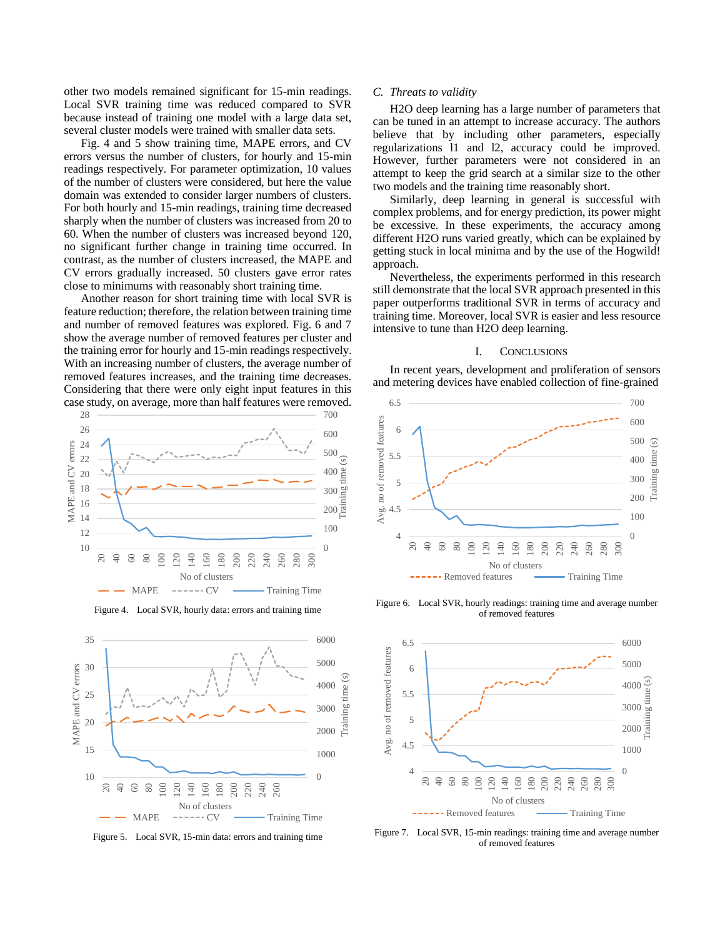other two models remained significant for 15-min readings. Local SVR training time was reduced compared to SVR because instead of training one model with a large data set, several cluster models were trained with smaller data sets.

Fig. 4 and 5 show training time, MAPE errors, and CV errors versus the number of clusters, for hourly and 15-min readings respectively. For parameter optimization, 10 values of the number of clusters were considered, but here the value domain was extended to consider larger numbers of clusters. For both hourly and 15-min readings, training time decreased sharply when the number of clusters was increased from 20 to 60. When the number of clusters was increased beyond 120, no significant further change in training time occurred. In contrast, as the number of clusters increased, the MAPE and CV errors gradually increased. 50 clusters gave error rates close to minimums with reasonably short training time.

Another reason for short training time with local SVR is feature reduction; therefore, the relation between training time and number of removed features was explored. Fig. 6 and 7 show the average number of removed features per cluster and the training error for hourly and 15-min readings respectively. With an increasing number of clusters, the average number of removed features increases, and the training time decreases. Considering that there were only eight input features in this case study, on average, more than half features were removed.

![](_page_6_Figure_3.jpeg)

![](_page_6_Figure_4.jpeg)

![](_page_6_Figure_5.jpeg)

Figure 5. Local SVR, 15-min data: errors and training time

# *C. Threats to validity*

H2O deep learning has a large number of parameters that can be tuned in an attempt to increase accuracy. The authors believe that by including other parameters, especially regularizations l1 and l2, accuracy could be improved. However, further parameters were not considered in an attempt to keep the grid search at a similar size to the other two models and the training time reasonably short.

Similarly, deep learning in general is successful with complex problems, and for energy prediction, its power might be excessive. In these experiments, the accuracy among different H2O runs varied greatly, which can be explained by getting stuck in local minima and by the use of the Hogwild! approach.

Nevertheless, the experiments performed in this research still demonstrate that the local SVR approach presented in this paper outperforms traditional SVR in terms of accuracy and training time. Moreover, local SVR is easier and less resource intensive to tune than H2O deep learning.

# I. CONCLUSIONS

In recent years, development and proliferation of sensors and metering devices have enabled collection of fine-grained

![](_page_6_Figure_13.jpeg)

Figure 6. Local SVR, hourly readings: training time and average number of removed features

![](_page_6_Figure_15.jpeg)

Figure 7. Local SVR, 15-min readings: training time and average number of removed features